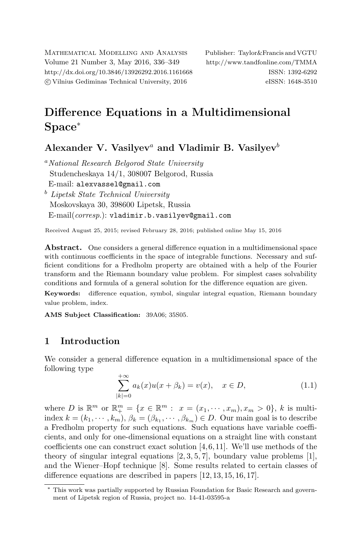Mathematical Modelling and Analysis Publisher: Taylor&Francis and VGTU Volume 21 Number 3, May 2016, 336–349 <http://www.tandfonline.com/TMMA> <http://dx.doi.org/10.3846/13926292.2016.1161668> ISSN: 1392-6292 c Vilnius Gediminas Technical University, 2016 eISSN: 1648-3510

# Difference Equations in a Multidimensional Space<sup>∗</sup>

Alexander V. Vasilyev<sup>a</sup> and Vladimir B. Vasilyev<sup>b</sup>

<sup>a</sup>National Research Belgorod State University Studencheskaya 14/1, 308007 Belgorod, Russia E-mail: [alexvassel@gmail.com](mailto:alexvassel@gmail.com) <sup>b</sup> Lipetsk State Technical University Moskovskaya 30, 398600 Lipetsk, Russia E-mail(corresp.): [vladimir.b.vasilyev@gmail.com](mailto:vladimir.b.vasilyev@gmail.com)

Received August 25, 2015; revised February 28, 2016; published online May 15, 2016

Abstract. One considers a general difference equation in a multidimensional space with continuous coefficients in the space of integrable functions. Necessary and sufficient conditions for a Fredholm property are obtained with a help of the Fourier transform and the Riemann boundary value problem. For simplest cases solvability conditions and formula of a general solution for the difference equation are given.

Keywords: difference equation, symbol, singular integral equation, Riemann boundary value problem, index.

AMS Subject Classification: 39A06; 35S05.

# 1 Introduction

We consider a general difference equation in a multidimensional space of the following type

<span id="page-0-0"></span>
$$
\sum_{|k|=0}^{+\infty} a_k(x) u(x + \beta_k) = v(x), \quad x \in D,
$$
\n(1.1)

where D is  $\mathbb{R}^m$  or  $\mathbb{R}^m_+ = \{x \in \mathbb{R}^m : x = (x_1, \dots, x_m), x_m > 0\}, k$  is multiindex  $k = (k_1, \dots, k_m)$ ,  $\beta_k = (\beta_{k_1}, \dots, \beta_{k_m}) \in D$ . Our main goal is to describe a Fredholm property for such equations. Such equations have variable coefficients, and only for one-dimensional equations on a straight line with constant coefficients one can construct exact solution [\[4,](#page-12-0)[6,](#page-12-1)[11\]](#page-12-2). We'll use methods of the theory of singular integral equations  $[2, 3, 5, 7]$  $[2, 3, 5, 7]$  $[2, 3, 5, 7]$  $[2, 3, 5, 7]$  $[2, 3, 5, 7]$  $[2, 3, 5, 7]$  $[2, 3, 5, 7]$ , boundary value problems  $[1]$ , and the Wiener–Hopf technique [\[8\]](#page-12-8). Some results related to certain classes of difference equations are described in papers [\[12,](#page-13-0) [13,](#page-13-1) [15,](#page-13-2) [16,](#page-13-3) [17\]](#page-13-4).

<sup>∗</sup> This work was partially supported by Russian Foundation for Basic Research and government of Lipetsk region of Russia, project no. 14-41-03595-a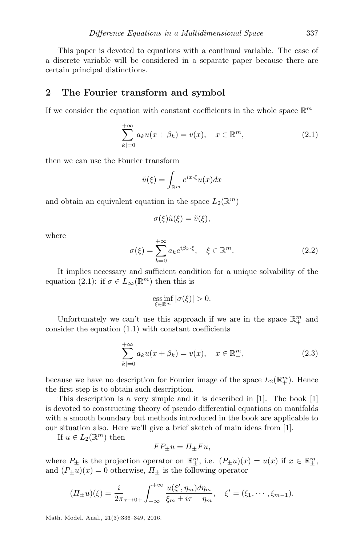This paper is devoted to equations with a continual variable. The case of a discrete variable will be considered in a separate paper because there are certain principal distinctions.

## 2 The Fourier transform and symbol

If we consider the equation with constant coefficients in the whole space  $\mathbb{R}^m$ 

$$
\sum_{|k|=0}^{+\infty} a_k u(x+\beta_k) = v(x), \quad x \in \mathbb{R}^m,
$$
\n(2.1)

then we can use the Fourier transform

<span id="page-1-0"></span>
$$
\tilde{u}(\xi) = \int_{\mathbb{R}^m} e^{ix \cdot \xi} u(x) dx
$$

and obtain an equivalent equation in the space  $L_2(\mathbb{R}^m)$ 

$$
\sigma(\xi)\tilde{u}(\xi) = \tilde{v}(\xi),
$$

<span id="page-1-2"></span>where

$$
\sigma(\xi) = \sum_{k=0}^{+\infty} a_k e^{i\beta_k \cdot \xi}, \quad \xi \in \mathbb{R}^m.
$$
 (2.2)

It implies necessary and sufficient condition for a unique solvability of the equation [\(2.1\)](#page-1-0): if  $\sigma \in L_{\infty}(\mathbb{R}^m)$  then this is

<span id="page-1-1"></span>
$$
\underset{\xi \in \mathbb{R}^m}{\text{ess}\inf} |\sigma(\xi)| > 0.
$$

Unfortunately we can't use this approach if we are in the space  $\mathbb{R}^m_+$  and consider the equation [\(1.1\)](#page-0-0) with constant coefficients

$$
\sum_{|k|=0}^{+\infty} a_k u(x + \beta_k) = v(x), \quad x \in \mathbb{R}_+^m,
$$
\n(2.3)

because we have no description for Fourier image of the space  $L_2(\mathbb{R}^m_+)$ . Hence the first step is to obtain such description.

This description is a very simple and it is described in [\[1\]](#page-12-7). The book [\[1\]](#page-12-7) is devoted to constructing theory of pseudo differential equations on manifolds with a smooth boundary but methods introduced in the book are applicable to our situation also. Here we'll give a brief sketch of main ideas from [\[1\]](#page-12-7).

If  $u \in L_2(\mathbb{R}^m)$  then

$$
FP_{\pm}u = \Pi_{\pm}Fu,
$$

where  $P_{\pm}$  is the projection operator on  $\mathbb{R}_{\pm}^m$ , i.e.  $(P_{\pm}u)(x) = u(x)$  if  $x \in \mathbb{R}_{\pm}^m$ , and  $(P_{\pm}u)(x) = 0$  otherwise,  $\Pi_{\pm}$  is the following operator

$$
(II_{\pm}u)(\xi) = \frac{i}{2\pi} \int_{-\infty}^{+\infty} \frac{u(\xi', \eta_m) d\eta_m}{\xi_m \pm i\tau - \eta_m}, \quad \xi' = (\xi_1, \cdots, \xi_{m-1}).
$$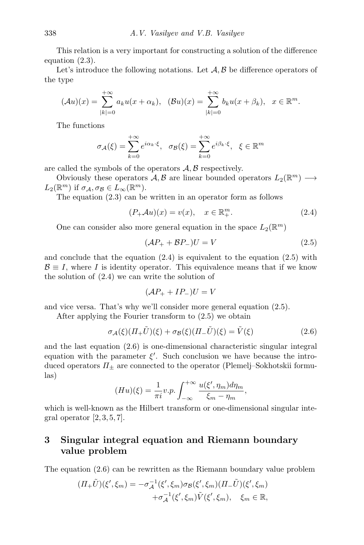This relation is a very important for constructing a solution of the difference equation [\(2.3\)](#page-1-1).

Let's introduce the following notations. Let  $A, B$  be difference operators of the type

$$
(\mathcal{A}u)(x) = \sum_{|k|=0}^{+\infty} a_k u(x + \alpha_k), \quad (\mathcal{B}u)(x) = \sum_{|k|=0}^{+\infty} b_k u(x + \beta_k), \quad x \in \mathbb{R}^m.
$$

The functions

$$
\sigma_{\mathcal{A}}(\xi) = \sum_{k=0}^{+\infty} e^{i\alpha_k \cdot \xi}, \quad \sigma_{\mathcal{B}}(\xi) = \sum_{k=0}^{+\infty} e^{i\beta_k \cdot \xi}, \quad \xi \in \mathbb{R}^m
$$

are called the symbols of the operators  $A, B$  respectively.

Obviously these operators  $A, B$  are linear bounded operators  $L_2(\mathbb{R}^m) \longrightarrow$  $L_2(\mathbb{R}^m)$  if  $\sigma_{\mathcal{A}}, \sigma_{\mathcal{B}} \in L_\infty(\mathbb{R}^m)$ .

The equation [\(2.3\)](#page-1-1) can be written in an operator form as follows

$$
(P_{+}Au)(x) = v(x), \quad x \in \mathbb{R}_{+}^{m}.
$$
\n(2.4)

One can consider also more general equation in the space  $L_2(\mathbb{R}^m)$ 

<span id="page-2-1"></span><span id="page-2-0"></span>
$$
(\mathcal{A}P_+ + \mathcal{B}P_-)U = V \tag{2.5}
$$

and conclude that the equation  $(2.4)$  is equivalent to the equation  $(2.5)$  with  $\mathcal{B} \equiv I$ , where I is identity operator. This equivalence means that if we know the solution of [\(2.4\)](#page-2-0) we can write the solution of

<span id="page-2-2"></span>
$$
(\mathcal{A}P_+ + IP_-)U = V
$$

and vice versa. That's why we'll consider more general equation [\(2.5\)](#page-2-1).

After applying the Fourier transform to [\(2.5\)](#page-2-1) we obtain

$$
\sigma_{\mathcal{A}}(\xi)(\Pi_{+}\tilde{U})(\xi) + \sigma_{\mathcal{B}}(\xi)(\Pi_{-}\tilde{U})(\xi) = \tilde{V}(\xi)
$$
\n(2.6)

and the last equation [\(2.6\)](#page-2-2) is one-dimensional characteristic singular integral equation with the parameter  $\xi'$ . Such conclusion we have because the introduced operators  $\Pi_{\pm}$  are connected to the operator (Plemelj–Sokhotskii formulas)

$$
(Hu)(\xi) = \frac{1}{\pi i} v.p. \int_{-\infty}^{+\infty} \frac{u(\xi', \eta_m) d\eta_m}{\xi_m - \eta_m},
$$

which is well-known as the Hilbert transform or one-dimensional singular integral operator  $[2, 3, 5, 7]$  $[2, 3, 5, 7]$  $[2, 3, 5, 7]$  $[2, 3, 5, 7]$  $[2, 3, 5, 7]$  $[2, 3, 5, 7]$  $[2, 3, 5, 7]$ .

# 3 Singular integral equation and Riemann boundary value problem

The equation [\(2.6\)](#page-2-2) can be rewritten as the Riemann boundary value problem

$$
(II_{+}\tilde{U})(\xi',\xi_{m}) = -\sigma_{\mathcal{A}}^{-1}(\xi',\xi_{m})\sigma_{\mathcal{B}}(\xi',\xi_{m})(II_{-}\tilde{U})(\xi',\xi_{m}) + \sigma_{\mathcal{A}}^{-1}(\xi',\xi_{m})\tilde{V}(\xi',\xi_{m}), \quad \xi_{m} \in \mathbb{R},
$$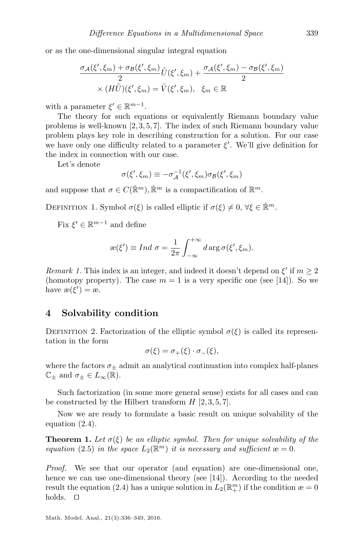or as the one-dimensional singular integral equation

$$
\frac{\sigma_{\mathcal{A}}(\xi', \xi_m) + \sigma_{\mathcal{B}}(\xi', \xi_m)}{2} \tilde{U}(\xi', \xi_m) + \frac{\sigma_{\mathcal{A}}(\xi', \xi_m) - \sigma_{\mathcal{B}}(\xi', \xi_m)}{2}
$$

$$
\times (H\tilde{U})(\xi', \xi_m) = \tilde{V}(\xi', \xi_m), \quad \xi_m \in \mathbb{R}
$$

with a parameter  $\xi' \in \mathbb{R}^{m-1}$ .

The theory for such equations or equivalently Riemann boundary value problems is well-known [\[2,](#page-12-3) [3,](#page-12-4) [5,](#page-12-5) [7\]](#page-12-6). The index of such Riemann boundary value problem plays key role in describing construction for a solution. For our case we have only one difficulty related to a parameter  $\xi'$ . We'll give definition for the index in connection with our case.

Let's denote

$$
\sigma(\xi', \xi_m) \equiv -\sigma_A^{-1}(\xi', \xi_m)\sigma_B(\xi', \xi_m)
$$

and suppose that  $\sigma \in C(\mathbb{R}^m)$ ,  $\mathbb{R}^m$  is a compactification of  $\mathbb{R}^m$ .

DEFINITION 1. Symbol  $\sigma(\xi)$  is called elliptic if  $\sigma(\xi) \neq 0, \forall \xi \in \mathbb{R}^m$ .

Fix  $\xi' \in \mathbb{R}^{m-1}$  and define

$$
\mathcal{E}(\xi') \equiv Ind \sigma = \frac{1}{2\pi} \int_{-\infty}^{+\infty} d\arg \sigma(\xi', \xi_m).
$$

Remark 1. This index is an integer, and indeed it doesn't depend on  $\xi'$  if  $m \geq 2$ (homotopy property). The case  $m = 1$  is a very specific one (see [\[14\]](#page-13-5)). So we have  $\mathcal{E}(\xi') = \mathcal{E}$ .

## 4 Solvability condition

DEFINITION 2. Factorization of the elliptic symbol  $\sigma(\xi)$  is called its representation in the form

$$
\sigma(\xi) = \sigma_+(\xi) \cdot \sigma_-(\xi),
$$

where the factors  $\sigma_{\pm}$  admit an analytical continuation into complex half-planes  $\mathbb{C}_{\pm}$  and  $\sigma_{\pm} \in L_{\infty}(\mathbb{R})$ .

Such factorization (in some more general sense) exists for all cases and can be constructed by the Hilbert transform  $H [2, 3, 5, 7]$  $H [2, 3, 5, 7]$  $H [2, 3, 5, 7]$  $H [2, 3, 5, 7]$  $H [2, 3, 5, 7]$  $H [2, 3, 5, 7]$  $H [2, 3, 5, 7]$  $H [2, 3, 5, 7]$ .

Now we are ready to formulate a basic result on unique solvability of the equation [\(2.4\)](#page-2-0).

**Theorem 1.** Let  $\sigma(\xi)$  be an elliptic symbol. Then for unique solvability of the equation [\(2.5\)](#page-2-1) in the space  $L_2(\mathbb{R}^m)$  it is necessary and sufficient  $\mathfrak{m} = 0$ .

Proof. We see that our operator (and equation) are one-dimensional one, hence we can use one-dimensional theory (see [\[14\]](#page-13-5)). According to the needed result the equation [\(2.4\)](#page-2-0) has a unique solution in  $L_2(\mathbb{R}^m_+)$  if the condition  $\mathfrak{B} = 0$ holds.  $\square$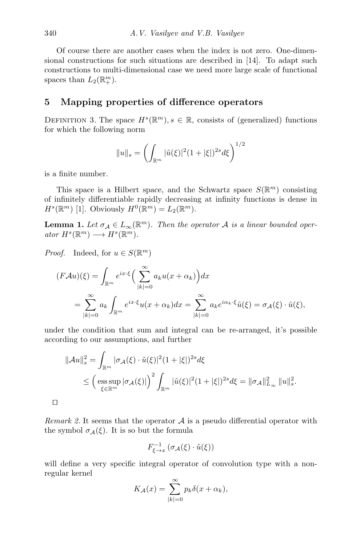Of course there are another cases when the index is not zero. One-dimensional constructions for such situations are described in [\[14\]](#page-13-5). To adapt such constructions to multi-dimensional case we need more large scale of functional spaces than  $L_2(\mathbb{R}^m_+).$ 

## 5 Mapping properties of difference operators

DEFINITION 3. The space  $H^s(\mathbb{R}^m)$ ,  $s \in \mathbb{R}$ , consists of (generalized) functions for which the following norm

$$
||u||_s = \left(\int_{\mathbb{R}^m} |\tilde{u}(\xi)|^2 (1+|\xi|)^{2s} d\xi\right)^{1/2}
$$

is a finite number.

 $\Box$ 

This space is a Hilbert space, and the Schwartz space  $S(\mathbb{R}^m)$  consisting of infinitely differentiable rapidly decreasing at infinity functions is dense in  $H^s(\mathbb{R}^m)$  [\[1\]](#page-12-7). Obviously  $H^0(\mathbb{R}^m) = L_2(\mathbb{R}^m)$ .

**Lemma 1.** Let  $\sigma_A \in L_\infty(\mathbb{R}^m)$ . Then the operator A is a linear bounded oper $ator H<sup>s</sup>(\mathbb{R}^m) \longrightarrow H<sup>s</sup>(\mathbb{R}^m)$ .

*Proof.* Indeed, for  $u \in S(\mathbb{R}^m)$ 

$$
(F\mathcal{A}u)(\xi) = \int_{\mathbb{R}^m} e^{ix\cdot\xi} \Big(\sum_{|k|=0}^{\infty} a_k u(x + \alpha_k)\Big) dx
$$
  
= 
$$
\sum_{|k|=0}^{\infty} a_k \int_{\mathbb{R}^m} e^{ix\cdot\xi} u(x + \alpha_k) dx = \sum_{|k|=0}^{\infty} a_k e^{i\alpha_k \cdot\xi} \tilde{u}(\xi) = \sigma_{\mathcal{A}}(\xi) \cdot \tilde{u}(\xi),
$$

under the condition that sum and integral can be re-arranged, it's possible according to our assumptions, and further

$$
\|\mathcal{A}u\|_{s}^{2} = \int_{\mathbb{R}^{m}} |\sigma_{\mathcal{A}}(\xi) \cdot \tilde{u}(\xi)|^{2} (1 + |\xi|)^{2s} d\xi
$$
  
\$\leq \left(\operatorname\*{\mathrm{ess\,sup}}\_{\xi \in \mathbb{R}^{m}} |\sigma\_{\mathcal{A}}(\xi)|\right)^{2} \int\_{\mathbb{R}^{m}} |\tilde{u}(\xi)|^{2} (1 + |\xi|)^{2s} d\xi = \|\sigma\_{\mathcal{A}}\|\_{L\_{\infty}}^{2} \|u\|\_{s}^{2}\$.

*Remark 2.* It seems that the operator  $A$  is a pseudo differential operator with the symbol  $\sigma_{\mathcal{A}}(\xi)$ . It is so but the formula

$$
F^{-1}_{\xi \to x} \left( \sigma_{\mathcal{A}}(\xi) \cdot \tilde{u}(\xi) \right)
$$

will define a very specific integral operator of convolution type with a nonregular kernel

$$
K_{\mathcal{A}}(x) = \sum_{|k|=0}^{\infty} p_k \delta(x + \alpha_k),
$$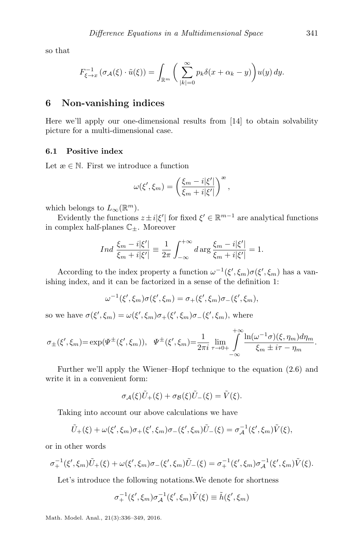so that

$$
F_{\xi \to x}^{-1} \left( \sigma_{\mathcal{A}}(\xi) \cdot \tilde{u}(\xi) \right) = \int_{\mathbb{R}^m} \left( \sum_{|k|=0}^{\infty} p_k \delta(x + \alpha_k - y) \right) u(y) \, dy.
$$

## 6 Non-vanishing indices

Here we'll apply our one-dimensional results from [\[14\]](#page-13-5) to obtain solvability picture for a multi-dimensional case.

#### 6.1 Positive index

Let  $x \in \mathbb{N}$ . First we introduce a function

$$
\omega(\xi', \xi_m) = \left(\frac{\xi_m - i|\xi'|}{\xi_m + i|\xi'|}\right)^{\infty},
$$

which belongs to  $L_{\infty}(\mathbb{R}^m)$ .

Evidently the functions  $z \pm i|\xi'|$  for fixed  $\xi' \in \mathbb{R}^{m-1}$  are analytical functions in complex half-planes  $\mathbb{C}_{\pm}$ . Moreover

$$
Ind \frac{\xi_m - i|\xi'|}{\xi_m + i|\xi'|} \equiv \frac{1}{2\pi} \int_{-\infty}^{+\infty} d\arg \frac{\xi_m - i|\xi'|}{\xi_m + i|\xi'|} = 1.
$$

According to the index property a function  $\omega^{-1}(\xi', \xi_m)\sigma(\xi', \xi_m)$  has a vanishing index, and it can be factorized in a sense of the definition 1:

$$
\omega^{-1}(\xi', \xi_m)\sigma(\xi', \xi_m) = \sigma_+(\xi', \xi_m)\sigma_-(\xi', \xi_m),
$$

so we have  $\sigma(\xi', \xi_m) = \omega(\xi', \xi_m)\sigma_+(\xi', \xi_m)\sigma_-(\xi', \xi_m)$ , where

$$
\sigma_{\pm}(\xi', \xi_m) = \exp(\Psi^{\pm}(\xi', \xi_m)), \quad \Psi^{\pm}(\xi', \xi_m) = \frac{1}{2\pi i} \lim_{\tau \to 0^+} \int_{-\infty}^{+\infty} \frac{\ln(\omega^{-1}\sigma)(\xi, \eta_m) d\eta_m}{\xi_m \pm i\tau - \eta_m}.
$$

Further we'll apply the Wiener–Hopf technique to the equation [\(2.6\)](#page-2-2) and write it in a convenient form:

$$
\sigma_{\mathcal{A}}(\xi)\tilde{U}_{+}(\xi) + \sigma_{\mathcal{B}}(\xi)\tilde{U}_{-}(\xi) = \tilde{V}(\xi).
$$

Taking into account our above calculations we have

$$
\tilde{U}_{+}(\xi) + \omega(\xi', \xi_m)\sigma_{+}(\xi', \xi_m)\sigma_{-}(\xi', \xi_m)\tilde{U}_{-}(\xi) = \sigma_{\mathcal{A}}^{-1}(\xi', \xi_m)\tilde{V}(\xi),
$$

or in other words

$$
\sigma_+^{-1}(\xi', \xi_m) \tilde{U}_+(\xi) + \omega(\xi', \xi_m) \sigma_-(\xi', \xi_m) \tilde{U}_-(\xi) = \sigma_+^{-1}(\xi', \xi_m) \sigma_A^{-1}(\xi', \xi_m) \tilde{V}(\xi).
$$

Let's introduce the following notations.We denote for shortness

$$
\sigma_+^{-1}(\xi', \xi_m)\sigma_\mathcal{A}^{-1}(\xi', \xi_m)\tilde{V}(\xi) \equiv \tilde{h}(\xi', \xi_m)
$$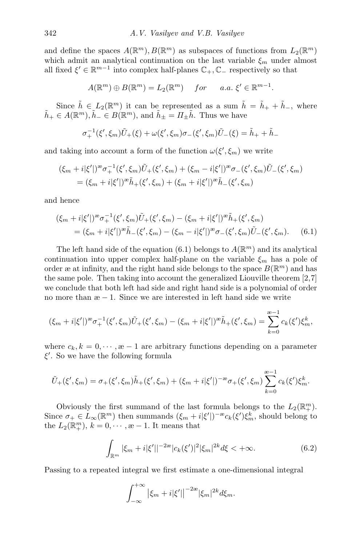and define the spaces  $A(\mathbb{R}^m), B(\mathbb{R}^m)$  as subspaces of functions from  $L_2(\mathbb{R}^m)$ which admit an analytical continuation on the last variable  $\xi_m$  under almost all fixed  $\xi' \in \mathbb{R}^{m-1}$  into complex half-planes  $\mathbb{C}_+$ ,  $\mathbb{C}_-$  respectively so that

$$
A(\mathbb{R}^m) \oplus B(\mathbb{R}^m) = L_2(\mathbb{R}^m) \quad for \quad a.a. \; \xi' \in \mathbb{R}^{m-1}.
$$

Since  $\tilde{h} \in L_2(\mathbb{R}^m)$  it can be represented as a sum  $\tilde{h} = \tilde{h}_+ + \tilde{h}_-$ , where  $\tilde{h}_+ \in A(\mathbb{R}^m), \tilde{h}_- \in B(\mathbb{R}^m)$ , and  $\tilde{h}_+ = \Pi_+ \tilde{h}$ . Thus we have

<span id="page-6-0"></span>
$$
\sigma_{+}^{-1}(\xi', \xi_m) \tilde{U}_{+}(\xi) + \omega(\xi', \xi_m) \sigma_{-}(\xi', \xi_m) \tilde{U}_{-}(\xi) = \tilde{h}_{+} + \tilde{h}_{-}
$$

and taking into account a form of the function  $\omega(\xi', \xi_m)$  we write

$$
\begin{aligned} (\xi_m + i|\xi'|)^{\infty} \sigma_+^{-1}(\xi', \xi_m) \tilde{U}_+(\xi', \xi_m) + (\xi_m - i|\xi'|)^{\infty} \sigma_-(\xi', \xi_m) \tilde{U}_-(\xi', \xi_m) \\ &= (\xi_m + i|\xi'|)^{\infty} \tilde{h}_+(\xi', \xi_m) + (\xi_m + i|\xi'|)^{\infty} \tilde{h}_-(\xi', \xi_m) \end{aligned}
$$

and hence

$$
(\xi_m + i|\xi'|)^{\infty} \sigma_+^{-1}(\xi', \xi_m) \tilde{U}_+(\xi', \xi_m) - (\xi_m + i|\xi'|)^{\infty} \tilde{h}_+(\xi', \xi_m)
$$
  
=  $(\xi_m + i|\xi'|)^{\infty} \tilde{h}_-(\xi', \xi_m) - (\xi_m - i|\xi'|)^{\infty} \sigma_-(\xi', \xi_m) \tilde{U}_-(\xi', \xi_m).$  (6.1)

The left hand side of the equation [\(6.1\)](#page-6-0) belongs to  $A(\mathbb{R}^m)$  and its analytical continuation into upper complex half-plane on the variable  $\xi_m$  has a pole of order æ at infinity, and the right hand side belongs to the space  $B(\mathbb{R}^m)$  and has the same pole. Then taking into account the generalized Liouville theorem [\[2,](#page-12-3)[7\]](#page-12-6) we conclude that both left had side and right hand side is a polynomial of order no more than  $x - 1$ . Since we are interested in left hand side we write

$$
(\xi_m + i|\xi'|)^{m} \sigma_+^{-1}(\xi', \xi_m) \tilde{U}_+(\xi', \xi_m) - (\xi_m + i|\xi'|)^{m} \tilde{h}_+(\xi', \xi_m) = \sum_{k=0}^{\infty} c_k(\xi') \xi_m^k,
$$

where  $c_k, k = 0, \dots, \infty - 1$  are arbitrary functions depending on a parameter  $\xi'$ . So we have the following formula

$$
\tilde{U}_{+}(\xi',\xi_m)=\sigma_{+}(\xi',\xi_m)\tilde{h}_{+}(\xi',\xi_m)+(\xi_m+i|\xi'|)^{-\infty}\sigma_{+}(\xi',\xi_m)\sum_{k=0}^{\infty-1}c_k(\xi')\xi_m^k.
$$

Obviously the first summand of the last formula belongs to the  $L_2(\mathbb{R}^m_+)$ . Since  $\sigma_+ \in L_\infty(\mathbb{R}^m)$  then summands  $(\xi_m + i|\xi'|)^{-\infty} c_k(\xi') \xi_m^k$ , should belong to the  $L_2(\mathbb{R}^m_+), k = 0, \dots, \infty - 1$ . It means that

<span id="page-6-1"></span>
$$
\int_{\mathbb{R}^m} |\xi_m + i|\xi'| |^{-2\infty} |c_k(\xi')|^2 |\xi_m|^{2k} d\xi < +\infty.
$$
 (6.2)

Passing to a repeated integral we first estimate a one-dimensional integral

$$
\int_{-\infty}^{+\infty} |\xi_m + i|\xi'| \Big|^{-2\infty} |\xi_m|^{2k} d\xi_m.
$$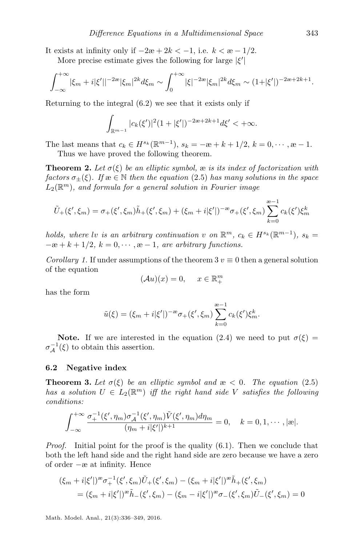It exists at infinity only if  $-2\mathfrak{e} + 2k < -1$ , i.e.  $k < \mathfrak{e} - 1/2$ .

More precise estimate gives the following for large  $|\xi'|$ 

$$
\int_{-\infty}^{+\infty} |\xi_m + i|\xi'||^{-2\infty} |\xi_m|^{2k} d\xi_m \sim \int_0^{+\infty} |\xi|^{-2\infty} |\xi_m|^{2k} d\xi_m \sim (1 + |\xi'|)^{-2\infty + 2k + 1}.
$$

Returning to the integral [\(6.2\)](#page-6-1) we see that it exists only if

$$
\int_{\mathbb{R}^{m-1}} |c_k(\xi')|^2 (1+|\xi'|)^{-2\alpha+2k+1} d\xi' < +\infty.
$$

The last means that  $c_k \in H^{s_k}(\mathbb{R}^{m-1}), s_k = -\infty + k + 1/2, k = 0, \dots, \infty - 1$ . Thus we have proved the following theorem.

**Theorem 2.** Let  $\sigma(\xi)$  be an elliptic symbol,  $\infty$  is its index of factorization with factors  $\sigma_{+}(\xi)$ . If  $x \in \mathbb{N}$  then the equation [\(2.5\)](#page-2-1) has many solutions in the space  $L_2(\mathbb{R}^m)$ , and formula for a general solution in Fourier image

$$
\tilde{U}_{+}(\xi', \xi_m) = \sigma_{+}(\xi', \xi_m)\tilde{h}_{+}(\xi', \xi_m) + (\xi_m + i|\xi'|)^{-\infty}\sigma_{+}(\xi', \xi_m)\sum_{k=0}^{\infty}c_k(\xi')\xi_m^k
$$

holds, where lv is an arbitrary continuation v on  $\mathbb{R}^m$ ,  $c_k \in H^{s_k}(\mathbb{R}^{m-1})$ ,  $s_k =$  $-\alpha + k + 1/2$ ,  $k = 0, \dots, \alpha - 1$ , are arbitrary functions.

Corollary 1. If under assumptions of the theorem  $3 v \equiv 0$  then a general solution of the equation

$$
(\mathcal{A}u)(x) = 0, \quad x \in \mathbb{R}^m_+
$$

has the form

$$
\tilde{u}(\xi) = (\xi_m + i|\xi'|)^{-\infty} \sigma_+(\xi', \xi_m) \sum_{k=0}^{\infty-1} c_k(\xi') \xi_m^k.
$$

**Note.** If we are interested in the equation [\(2.4\)](#page-2-0) we need to put  $\sigma(\xi)$  =  $\sigma_{\mathcal{A}}^{-1}(\xi)$  to obtain this assertion.

#### 6.2 Negative index

**Theorem 3.** Let  $\sigma(\xi)$  be an elliptic symbol and  $\mathfrak{E} < 0$ . The equation [\(2.5\)](#page-2-1) has a solution  $U \in L_2(\mathbb{R}^m)$  iff the right hand side V satisfies the following conditions:

$$
\int_{-\infty}^{+\infty} \frac{\sigma_+^{-1}(\xi', \eta_m) \sigma_A^{-1}(\xi', \eta_m) \tilde{V}(\xi', \eta_m) d\eta_m}{(\eta_m + i|\xi'|)^{k+1}} = 0, \quad k = 0, 1, \cdots, |\mathcal{R}|.
$$

Proof. Initial point for the proof is the quality [\(6.1\)](#page-6-0). Then we conclude that both the left hand side and the right hand side are zero because we have a zero of order −æ at infinity. Hence

$$
\begin{aligned} (\xi_m + i|\xi'|)^{\infty} \sigma_+^{-1}(\xi', \xi_m) \tilde{U}_+(\xi', \xi_m) - (\xi_m + i|\xi'|)^{\infty} \tilde{h}_+(\xi', \xi_m) \\ &= (\xi_m + i|\xi'|)^{\infty} \tilde{h}_-(\xi', \xi_m) - (\xi_m - i|\xi'|)^{\infty} \sigma_-(\xi', \xi_m) \tilde{U}_-(\xi', \xi_m) = 0 \end{aligned}
$$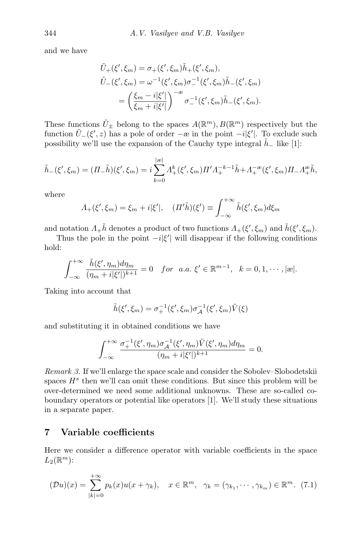and we have

$$
\tilde{U}_{+}(\xi', \xi_m) = \sigma_{+}(\xi', \xi_m)\tilde{h}_{+}(\xi', \xi_m),
$$
\n
$$
\tilde{U}_{-}(\xi', \xi_m) = \omega^{-1}(\xi', \xi_m)\sigma_{-}^{-1}(\xi', \xi_m)\tilde{h}_{-}(\xi', \xi_m)
$$
\n
$$
= \left(\frac{\xi_m - i|\xi'|}{\xi_m + i|\xi'|}\right)^{-\infty}\sigma_{-}^{-1}(\xi', \xi_m)\tilde{h}_{-}(\xi', \xi_m).
$$

These functions  $\tilde{U}_{\pm}$  belong to the spaces  $A(\mathbb{R}^m)$ ,  $B(\mathbb{R}^m)$  respectively but the function  $\tilde{U}_{-}(\xi', z)$  has a pole of order  $-z$  in the point  $-i|\xi'|$ . To exclude such possibility we'll use the expansion of the Cauchy type integral  $h_-\,$  like [\[1\]](#page-12-7):

$$
\tilde{h}_{-}(\xi', \xi_m) = (\Pi_{-}\tilde{h})(\xi', \xi_m) = i \sum_{k=0}^{|\infty|} \Lambda_{+}^{k}(\xi', \xi_m) \Pi' \Lambda_{+}^{-k-1} \tilde{h} + \Lambda_{+}^{-\infty}(\xi', \xi_m) \Pi_{-} \Lambda_{+}^{\infty} \tilde{h},
$$

where

$$
\Lambda_+(\xi',\xi_m) = \xi_m + i|\xi'|, \quad (\Pi'\tilde{h})(\xi') \equiv \int_{-\infty}^{+\infty} \tilde{h}(\xi',\xi_m) d\xi_m
$$

and notation  $\Lambda_+ \tilde{h}$  denotes a product of two functions  $\Lambda_+(\xi', \xi_m)$  and  $\tilde{h}(\xi', \xi_m)$ .

Thus the pole in the point  $-i|\xi'|$  will disappear if the following conditions hold:

$$
\int_{-\infty}^{+\infty} \frac{\tilde{h}(\xi', \eta_m) d\eta_m}{(\eta_m + i|\xi'|)^{k+1}} = 0 \quad \text{for} \quad a.a. \ \xi' \in \mathbb{R}^{m-1}, \quad k = 0, 1, \cdots, |\mathcal{B}|.
$$

Taking into account that

$$
\tilde{h}(\xi', \xi_m) = \sigma_+^{-1}(\xi', \xi_m) \sigma_{\mathcal{A}}^{-1}(\xi', \xi_m) \tilde{V}(\xi)
$$

and substituting it in obtained conditions we have

$$
\int_{-\infty}^{+\infty} \frac{\sigma_+^{-1}(\xi', \eta_m) \sigma_A^{-1}(\xi', \eta_m) \tilde{V}(\xi', \eta_m) d\eta_m}{(\eta_m + i|\xi'|)^{k+1}} = 0.
$$

Remark 3. If we'll enlarge the space scale and consider the Sobolev–Slobodetskii spaces  $H^s$  then we'll can omit these conditions. But since this problem will be over-determined we need some additional unknowns. These are so-called coboundary operators or potential like operators [\[1\]](#page-12-7). We'll study these situations in a separate paper.

## 7 Variable coefficients

<span id="page-8-0"></span>Here we consider a difference operator with variable coefficients in the space  $L_2(\mathbb{R}^m)$ :

$$
(\mathcal{D}u)(x) = \sum_{|k|=0}^{+\infty} p_k(x)u(x+\gamma_k), \quad x \in \mathbb{R}^m, \quad \gamma_k = (\gamma_{k_1}, \cdots, \gamma_{k_m}) \in \mathbb{R}^m. \tag{7.1}
$$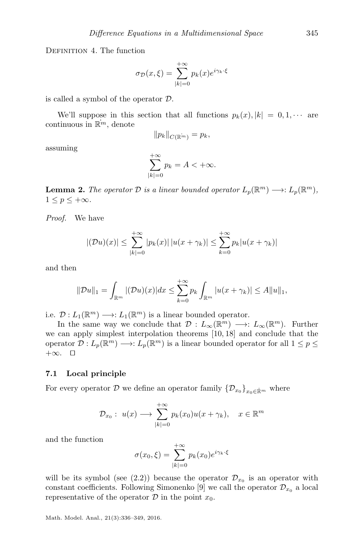Definition 4. The function

$$
\sigma_{\mathcal{D}}(x,\xi) = \sum_{|k|=0}^{+\infty} p_k(x) e^{i\gamma_k \cdot \xi}
$$

is called a symbol of the operator D.

We'll suppose in this section that all functions  $p_k(x)$ ,  $|k| = 0, 1, \cdots$  are continuous in  $\mathbb{R}^m$ , denote

$$
||p_k||_{C(\mathbb{R}^m)} = p_k,
$$

assuming

$$
\sum_{|k|=0}^{+\infty} p_k = A < +\infty.
$$

**Lemma 2.** The operator  $D$  is a linear bounded operator  $L_p(\mathbb{R}^m) \longrightarrow: L_p(\mathbb{R}^m)$ ,  $1 \leq p \leq +\infty$ .

Proof. We have

$$
|(\mathcal{D}u)(x)| \le \sum_{|k|=0}^{+\infty} |p_k(x)| \, |u(x+\gamma_k)| \le \sum_{k=0}^{+\infty} p_k |u(x+\gamma_k)|
$$

and then

$$
\|\mathcal{D}u\|_{1} = \int_{\mathbb{R}^m} |(\mathcal{D}u)(x)| dx \le \sum_{k=0}^{+\infty} p_k \int_{\mathbb{R}^m} |u(x + \gamma_k)| \le A \|u\|_{1},
$$

i.e.  $\mathcal{D}: L_1(\mathbb{R}^m) \longrightarrow: L_1(\mathbb{R}^m)$  is a linear bounded operator.

In the same way we conclude that  $\mathcal{D}: L_{\infty}(\mathbb{R}^m) \longrightarrow: L_{\infty}(\mathbb{R}^m)$ . Further we can apply simplest interpolation theorems [\[10,](#page-12-9) [18\]](#page-13-6) and conclude that the operator  $\mathcal{D}: L_p(\mathbb{R}^m) \longrightarrow L_p(\mathbb{R}^m)$  is a linear bounded operator for all  $1 \leq p \leq$  $+\infty$ .  $\Box$ 

#### 7.1 Local principle

For every operator  $D$  we define an operator family  $\{\mathcal{D}_{x_0}\}_{x_0\in\mathbb{R}^m}$  where

$$
\mathcal{D}_{x_0}: u(x) \longrightarrow \sum_{|k|=0}^{+\infty} p_k(x_0)u(x+\gamma_k), \quad x \in \mathbb{R}^m
$$

and the function

$$
\sigma(x_0, \xi) = \sum_{|k|=0}^{+\infty} p_k(x_0) e^{i\gamma_k \cdot \xi}
$$

will be its symbol (see [\(2.2\)](#page-1-2)) because the operator  $\mathcal{D}_{x_0}$  is an operator with constant coefficients. Following Simonenko [\[9\]](#page-12-10) we call the operator  $\mathcal{D}_{x_0}$  a local representative of the operator  $\mathcal D$  in the point  $x_0$ .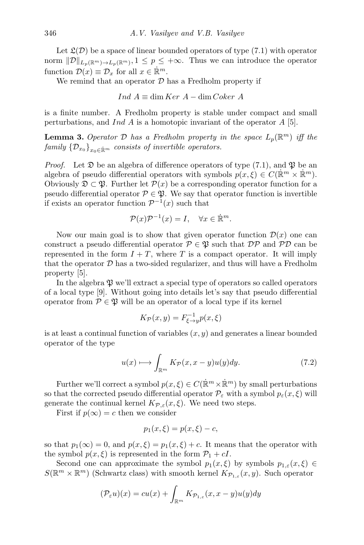Let  $\mathfrak{L}(\mathcal{D})$  be a space of linear bounded operators of type [\(7.1\)](#page-8-0) with operator norm  $||\mathcal{D}||_{L_p(\mathbb{R}^m)\to L_p(\mathbb{R}^m)}$ ,  $1 \leq p \leq +\infty$ . Thus we can introduce the operator function  $\mathcal{D}(x) \equiv \mathcal{D}_x$  for all  $x \in \mathbb{R}^m$ .

We remind that an operator  $D$  has a Fredholm property if

$$
Ind A \equiv \dim Ker A - \dim Coker A
$$

is a finite number. A Fredholm property is stable under compact and small perturbations, and Ind A is a homotopic invariant of the operator A [\[5\]](#page-12-5).

**Lemma 3.** Operator  $D$  has a Fredholm property in the space  $L_p(\mathbb{R}^m)$  iff the family  $\{\mathcal{D}_{x_0}\}_{x_0\in\mathbb{R}^m}$  consists of invertible operators.

*Proof.* Let  $\mathfrak D$  be an algebra of difference operators of type [\(7.1\)](#page-8-0), and  $\mathfrak P$  be an algebra of pseudo differential operators with symbols  $p(x,\xi) \in C(\mathbb{R}^m \times \mathbb{R}^m)$ . Obviously  $\mathfrak{D} \subset \mathfrak{P}$ . Further let  $\mathcal{P}(x)$  be a corresponding operator function for a pseudo differential operator  $P \in \mathfrak{B}$ . We say that operator function is invertible if exists an operator function  $\mathcal{P}^{-1}(x)$  such that

$$
\mathcal{P}(x)\mathcal{P}^{-1}(x) = I, \quad \forall x \in \dot{\mathbb{R}}^m.
$$

Now our main goal is to show that given operator function  $\mathcal{D}(x)$  one can construct a pseudo differential operator  $P \in \mathfrak{P}$  such that  $\mathcal{DP}$  and  $\mathcal{PD}$  can be represented in the form  $I + T$ , where T is a compact operator. It will imply that the operator  $D$  has a two-sided regularizer, and thus will have a Fredholm property [\[5\]](#page-12-5).

In the algebra  $\mathfrak V$  we'll extract a special type of operators so called operators of a local type [\[9\]](#page-12-10). Without going into details let's say that pseudo differential operator from  $P \in \mathfrak{P}$  will be an operator of a local type if its kernel

$$
K_{\mathcal{P}}(x,y) = F_{\xi \to y}^{-1} p(x,\xi)
$$

is at least a continual function of variables  $(x, y)$  and generates a linear bounded operator of the type

<span id="page-10-0"></span>
$$
u(x) \longmapsto \int_{\mathbb{R}^m} K_{\mathcal{P}}(x, x - y) u(y) dy.
$$
 (7.2)

Further we'll correct a symbol  $p(x,\xi) \in C(\mathbb{R}^m \times \mathbb{R}^m)$  by small perturbations so that the corrected pseudo differential operator  $\mathcal{P}_{\varepsilon}$  with a symbol  $p_{\varepsilon}(x,\xi)$  will generate the continual kernel  $K_{\mathcal{P},\varepsilon}(x,\xi)$ . We need two steps.

First if  $p(\infty) = c$  then we consider

$$
p_1(x,\xi) = p(x,\xi) - c,
$$

so that  $p_1(\infty) = 0$ , and  $p(x, \xi) = p_1(x, \xi) + c$ . It means that the operator with the symbol  $p(x, \xi)$  is represented in the form  $\mathcal{P}_1 + cI$ .

Second one can approximate the symbol  $p_1(x, \xi)$  by symbols  $p_{1,\varepsilon}(x, \xi) \in$  $S(\mathbb{R}^m\times\mathbb{R}^m)$  (Schwartz class) with smooth kernel  $K_{\mathcal{P}_{1,\varepsilon}}(x,y)$ . Such operator

$$
(\mathcal{P}_{\varepsilon}u)(x) = cu(x) + \int_{\mathbb{R}^m} K_{\mathcal{P}_{1,\varepsilon}}(x, x - y)u(y)dy
$$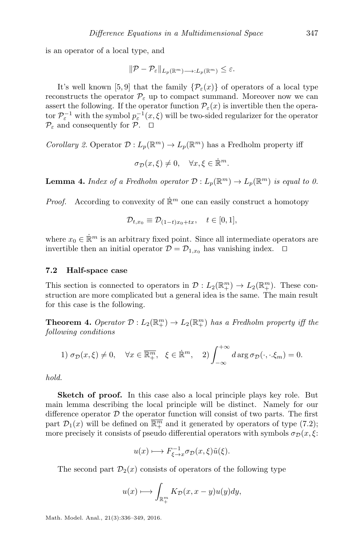is an operator of a local type, and

$$
\|\mathcal{P}-\mathcal{P}_{\varepsilon}\|_{L_p(\mathbb{R}^m)\longrightarrow L_p(\mathbb{R}^m)}\leq \varepsilon.
$$

It's well known [\[5,](#page-12-5)[9\]](#page-12-10) that the family  $\{\mathcal{P}_{\varepsilon}(x)\}\)$  of operators of a local type reconstructs the operator  $\mathcal{P}_{\varepsilon}$  up to compact summand. Moreover now we can assert the following. If the operator function  $\mathcal{P}_{\varepsilon}(x)$  is invertible then the operator  $\mathcal{P}_{\varepsilon}^{-1}$  with the symbol  $p_{\varepsilon}^{-1}(x,\xi)$  will be two-sided regularizer for the operator  $\mathcal{P}_{\varepsilon}$  and consequently for  $\mathcal{P}.$   $\square$ 

*Corollary 2.* Operator  $\mathcal{D}: L_p(\mathbb{R}^m) \to L_p(\mathbb{R}^m)$  has a Fredholm property iff

$$
\sigma_{\mathcal{D}}(x,\xi) \neq 0, \quad \forall x,\xi \in \dot{\mathbb{R}}^m.
$$

**Lemma 4.** Index of a Fredholm operator  $\mathcal{D}: L_p(\mathbb{R}^m) \to L_p(\mathbb{R}^m)$  is equal to 0.

*Proof.* According to convexity of  $\mathbb{R}^m$  one can easily construct a homotopy

$$
\mathcal{D}_{t,x_0} \equiv \mathcal{D}_{(1-t)x_0+tx}, \quad t \in [0,1],
$$

where  $x_0 \in \mathbb{R}^m$  is an arbitrary fixed point. Since all intermediate operators are invertible then an initial operator  $\mathcal{D} = \mathcal{D}_{1,x_0}$  has vanishing index.  $\Box$ 

#### 7.2 Half-space case

This section is connected to operators in  $\mathcal{D}: L_2(\mathbb{R}^m_+) \to L_2(\mathbb{R}^m_+)$ . These construction are more complicated but a general idea is the same. The main result for this case is the following.

**Theorem 4.** Operator  $\mathcal{D}: L_2(\mathbb{R}^m_+) \to L_2(\mathbb{R}^m_+)$  has a Fredholm property iff the following conditions

1) 
$$
\sigma_{\mathcal{D}}(x,\xi) \neq 0
$$
,  $\forall x \in \overline{\mathbb{R}^m_+}$ ,  $\xi \in \dot{\mathbb{R}}^m$ , 2)  $\int_{-\infty}^{+\infty} d\arg \sigma_{\mathcal{D}}(\cdot,\cdot,\xi_m) = 0$ .

hold.

Sketch of proof. In this case also a local principle plays key role. But main lemma describing the local principle will be distinct. Namely for our difference operator  $D$  the operator function will consist of two parts. The first part  $\mathcal{D}_1(x)$  will be defined on  $\overline{\mathbb{R}^m_+}$  and it generated by operators of type [\(7.2\)](#page-10-0); more precisely it consists of pseudo differential operators with symbols  $\sigma_{\mathcal{D}}(x, \xi)$ :

$$
u(x) \longmapsto F_{\xi \to x}^{-1} \sigma_{\mathcal{D}}(x,\xi) \tilde{u}(\xi).
$$

The second part  $\mathcal{D}_2(x)$  consists of operators of the following type

$$
u(x) \longmapsto \int_{\mathbb{R}^m_+} K_{\mathcal{D}}(x, x - y) u(y) dy,
$$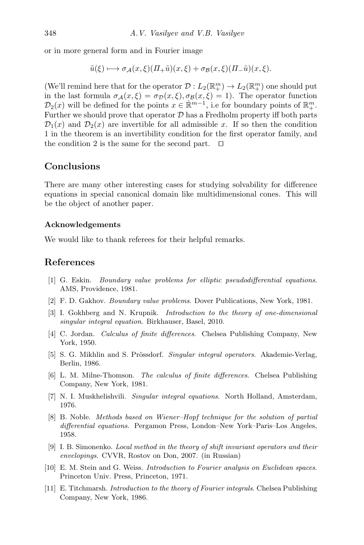or in more general form and in Fourier image

$$
\tilde{u}(\xi) \longmapsto \sigma_{\mathcal{A}}(x,\xi)(\Pi_{+}\tilde{u})(x,\xi) + \sigma_{\mathcal{B}}(x,\xi)(\Pi_{-}\tilde{u})(x,\xi).
$$

(We'll remind here that for the operator  $\mathcal{D}: L_2(\mathbb{R}^m_+) \to L_2(\mathbb{R}^m_+)$  one should put in the last formula  $\sigma_{\mathcal{A}}(x,\xi) = \sigma_{\mathcal{D}}(x,\xi), \sigma_{\mathcal{B}}(x,\xi) = 1$ . The operator function  $\mathcal{D}_2(x)$  will be defined for the points  $x \in \mathbb{R}^{m-1}$ , i.e for boundary points of  $\mathbb{R}^m_+$ . Further we should prove that operator  $D$  has a Fredholm property iff both parts  $\mathcal{D}_1(x)$  and  $\mathcal{D}_2(x)$  are invertible for all admissible x. If so then the condition 1 in the theorem is an invertibility condition for the first operator family, and the condition 2 is the same for the second part.  $\Box$ 

## Conclusions

There are many other interesting cases for studying solvability for difference equations in special canonical domain like multidimensional cones. This will be the object of another paper.

#### Acknowledgements

We would like to thank referees for their helpful remarks.

## References

- <span id="page-12-7"></span>[1] G. Eskin. Boundary value problems for elliptic pseudodifferential equations. AMS, Providence, 1981.
- <span id="page-12-3"></span>[2] F. D. Gakhov. Boundary value problems. Dover Publications, New York, 1981.
- <span id="page-12-4"></span>[3] I. Gokhberg and N. Krupnik. Introduction to the theory of one-dimensional singular integral equation. Birkhauser, Basel, 2010.
- <span id="page-12-0"></span>[4] C. Jordan. Calculus of finite differences. Chelsea Publishing Company, New York, 1950.
- <span id="page-12-5"></span>[5] S. G. Mikhlin and S. Prössdorf. Singular integral operators. Akademie-Verlag, Berlin, 1986.
- <span id="page-12-1"></span>[6] L. M. Milne-Thomson. The calculus of finite differences. Chelsea Publishing Company, New York, 1981.
- <span id="page-12-6"></span>[7] N. I. Muskhelishvili. Singular integral equations. North Holland, Amsterdam, 1976.
- <span id="page-12-8"></span>[8] B. Noble. Methods based on Wiener–Hopf technique for the solution of partial differential equations. Pergamon Press, London–New York–Paris–Los Angeles, 1958.
- <span id="page-12-10"></span>[9] I. B. Simonenko. Local method in the theory of shift invariant operators and their envelopings. CVVR, Rostov on Don, 2007. (in Russian)
- <span id="page-12-9"></span>[10] E. M. Stein and G. Weiss. Introduction to Fourier analysis on Euclidean spaces. Princeton Univ. Press, Princeton, 1971.
- <span id="page-12-2"></span>[11] E. Titchmarsh. Introduction to the theory of Fourier integrals. Chelsea Publishing Company, New York, 1986.